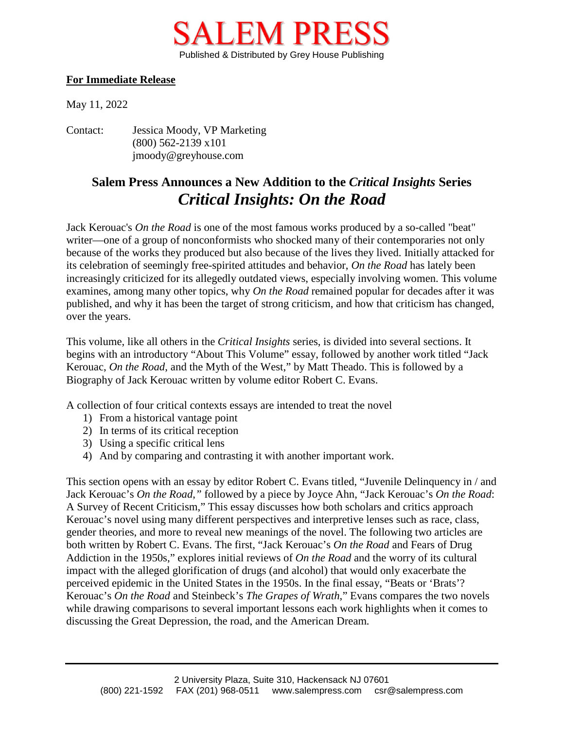

## **For Immediate Release**

May 11, 2022

Contact: Jessica Moody, VP Marketing (800) 562-2139 x101 jmoody@greyhouse.com

## **Salem Press Announces a New Addition to the** *Critical Insights* **Series** *Critical Insights: On the Road*

Jack Kerouac's *On the Road* is one of the most famous works produced by a so-called "beat" writer—one of a group of nonconformists who shocked many of their contemporaries not only because of the works they produced but also because of the lives they lived. Initially attacked for its celebration of seemingly free-spirited attitudes and behavior, *On the Road* has lately been increasingly criticized for its allegedly outdated views, especially involving women. This volume examines, among many other topics, why *On the Road* remained popular for decades after it was published, and why it has been the target of strong criticism, and how that criticism has changed, over the years.

This volume, like all others in the *Critical Insights* series, is divided into several sections. It begins with an introductory "About This Volume" essay, followed by another work titled "Jack Kerouac, *On the Road*, and the Myth of the West," by Matt Theado. This is followed by a Biography of Jack Kerouac written by volume editor Robert C. Evans.

A collection of four critical contexts essays are intended to treat the novel

- 1) From a historical vantage point
- 2) In terms of its critical reception
- 3) Using a specific critical lens
- 4) And by comparing and contrasting it with another important work.

This section opens with an essay by editor Robert C. Evans titled, "Juvenile Delinquency in / and Jack Kerouac's *On the Road*,*"* followed by a piece by Joyce Ahn, "Jack Kerouac's *On the Road*: A Survey of Recent Criticism," This essay discusses how both scholars and critics approach Kerouac's novel using many different perspectives and interpretive lenses such as race, class, gender theories, and more to reveal new meanings of the novel. The following two articles are both written by Robert C. Evans. The first, "Jack Kerouac's *On the Road* and Fears of Drug Addiction in the 1950s," explores initial reviews of *On the Road* and the worry of its cultural impact with the alleged glorification of drugs (and alcohol) that would only exacerbate the perceived epidemic in the United States in the 1950s. In the final essay, "Beats or 'Brats'? Kerouac's *On the Road* and Steinbeck's *The Grapes of Wrath*," Evans compares the two novels while drawing comparisons to several important lessons each work highlights when it comes to discussing the Great Depression, the road, and the American Dream*.*